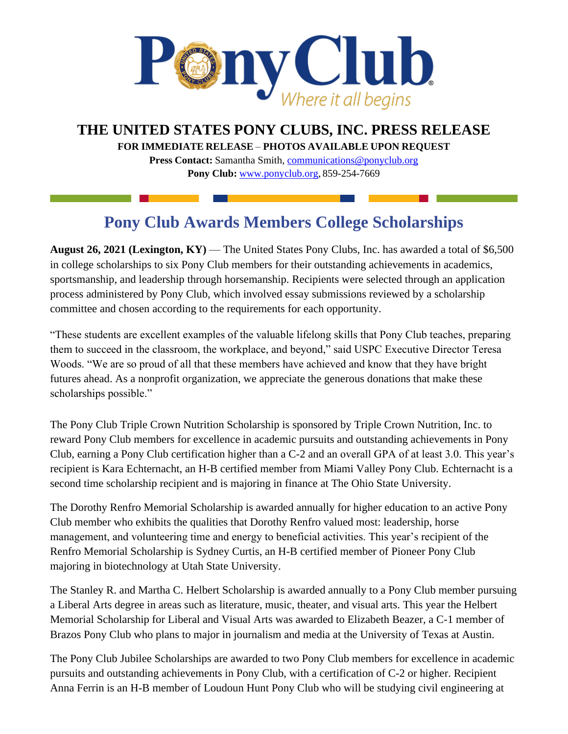

**THE UNITED STATES PONY CLUBS, INC. PRESS RELEASE**

**FOR IMMEDIATE RELEASE** – **PHOTOS AVAILABLE UPON REQUEST** 

**Press Contact:** Samantha Smith, [communications@ponyclub.org](mailto:communications@ponyclub.org) **Pony Club:** [www.ponyclub.org,](http://www.ponyclub.org/) 859-254-7669

## **Pony Club Awards Members College Scholarships**

**August 26, 2021 (Lexington, KY)** — The United States Pony Clubs, Inc. has awarded a total of \$6,500 in college scholarships to six Pony Club members for their outstanding achievements in academics, sportsmanship, and leadership through horsemanship. Recipients were selected through an application process administered by Pony Club, which involved essay submissions reviewed by a scholarship committee and chosen according to the requirements for each opportunity.

"These students are excellent examples of the valuable lifelong skills that Pony Club teaches, preparing them to succeed in the classroom, the workplace, and beyond," said USPC Executive Director Teresa Woods. "We are so proud of all that these members have achieved and know that they have bright futures ahead. As a nonprofit organization, we appreciate the generous donations that make these scholarships possible."

The Pony Club Triple Crown Nutrition Scholarship is sponsored by Triple Crown Nutrition, Inc. to reward Pony Club members for excellence in academic pursuits and outstanding achievements in Pony Club, earning a Pony Club certification higher than a C-2 and an overall GPA of at least 3.0. This year's recipient is Kara Echternacht, an H-B certified member from Miami Valley Pony Club. Echternacht is a second time scholarship recipient and is majoring in finance at The Ohio State University.

The Dorothy Renfro Memorial Scholarship is awarded annually for higher education to an active Pony Club member who exhibits the qualities that Dorothy Renfro valued most: leadership, horse management, and volunteering time and energy to beneficial activities. This year's recipient of the Renfro Memorial Scholarship is Sydney Curtis, an H-B certified member of Pioneer Pony Club majoring in biotechnology at Utah State University.

The Stanley R. and Martha C. Helbert Scholarship is awarded annually to a Pony Club member pursuing a Liberal Arts degree in areas such as literature, music, theater, and visual arts. This year the Helbert Memorial Scholarship for Liberal and Visual Arts was awarded to Elizabeth Beazer, a C-1 member of Brazos Pony Club who plans to major in journalism and media at the University of Texas at Austin.

The Pony Club Jubilee Scholarships are awarded to two Pony Club members for excellence in academic pursuits and outstanding achievements in Pony Club, with a certification of C-2 or higher. Recipient Anna Ferrin is an H-B member of Loudoun Hunt Pony Club who will be studying civil engineering at